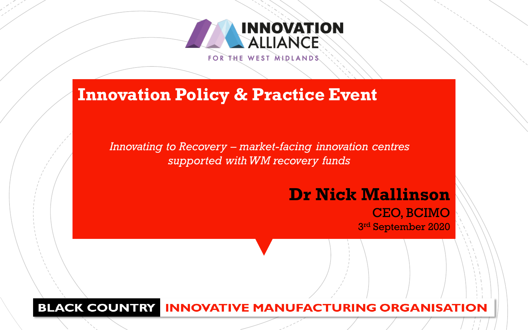

### **Innovation Policy & Practice Event**

*Innovating to Recovery – market-facing innovation centres supported with WM recovery funds*

### **Dr Nick Mallinson** CEO, BCIMO

3 rd September 2020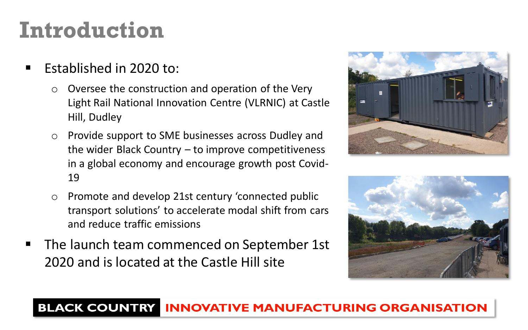### **Introduction**

- Established in 2020 to:
	- o Oversee the construction and operation of the Very Light Rail National Innovation Centre (VLRNIC) at Castle Hill, Dudley
	- o Provide support to SME businesses across Dudley and the wider Black Country – to improve competitiveness in a global economy and encourage growth post Covid-19
	- o Promote and develop 21st century 'connected public transport solutions' to accelerate modal shift from cars and reduce traffic emissions
- The launch team commenced on September 1st 2020 and is located at the Castle Hill site



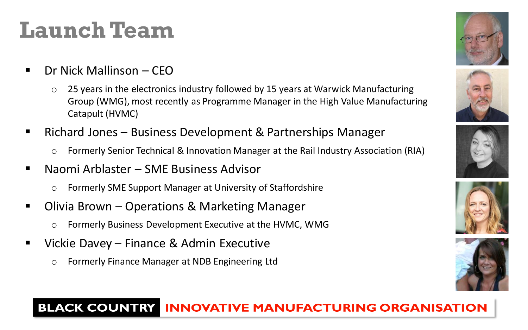## **Launch Team**

- Dr Nick Mallinson CEO
	- o 25 years in the electronics industry followed by 15 years at Warwick Manufacturing Group (WMG), most recently as Programme Manager in the High Value Manufacturing Catapult (HVMC)
- Richard Jones Business Development & Partnerships Manager
	- o Formerly Senior Technical & Innovation Manager at the Rail Industry Association (RIA)
- Naomi Arblaster SME Business Advisor
	- o Formerly SME Support Manager at University of Staffordshire
- Olivia Brown Operations & Marketing Manager
	- o Formerly Business Development Executive at the HVMC, WMG
- Vickie Davey Finance & Admin Executive
	- o Formerly Finance Manager at NDB Engineering Ltd









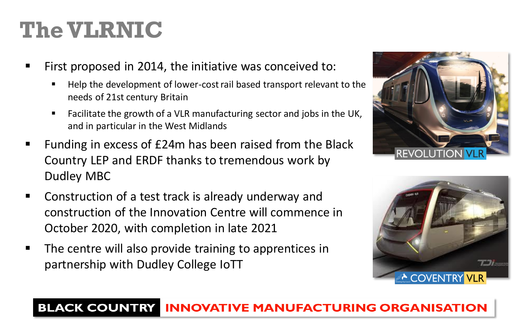# **The VLRNIC**

- First proposed in 2014, the initiative was conceived to:
	- Help the development of lower-cost rail based transport relevant to the needs of 21st century Britain
	- Facilitate the growth of a VLR manufacturing sector and jobs in the UK, and in particular in the West Midlands
- Funding in excess of £24m has been raised from the Black Country LEP and ERDF thanks to tremendous work by Dudley MBC
- Construction of a test track is already underway and construction of the Innovation Centre will commence in October 2020, with completion in late 2021
- The centre will also provide training to apprentices in partnership with Dudley College IoTT



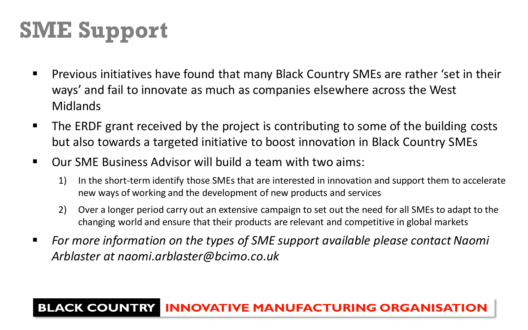# **SME Support**

- Previous initiatives have found that many Black Country SMEs are rather 'set in their ways' and fail to innovate as much as companies elsewhere across the West Midlands
- The ERDF grant received by the project is contributing to some of the building costs but also towards a targeted initiative to boost innovation in Black Country SMEs
- Our SME Business Advisor will build a team with two aims:
	- 1) In the short-term identify those SMEs that are interested in innovation and support them to accelerate new ways of working and the development of new products and services
	- 2) Over a longer period carry out an extensive campaign to set out the need for all SMEs to adapt to the changing world and ensure that their products are relevant and competitive in global markets
- *For more information on the types of SME support available please contact Naomi Arblaster at naomi.arblaster@bcimo.co.uk*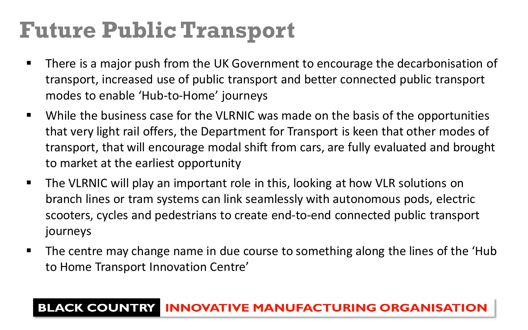# **Future Public Transport**

- There is a major push from the UK Government to encourage the decarbonisation of transport, increased use of public transport and better connected public transport modes to enable 'Hub-to-Home' journeys
- While the business case for the VLRNIC was made on the basis of the opportunities that very light rail offers, the Department for Transport is keen that other modes of transport, that will encourage modal shift from cars, are fully evaluated and brought to market at the earliest opportunity
- The VLRNIC will play an important role in this, looking at how VLR solutions on branch lines or tram systems can link seamlessly with autonomous pods, electric scooters, cycles and pedestrians to create end-to-end connected public transport journeys
- The centre may change name in due course to something along the lines of the 'Hub to Home Transport Innovation Centre'